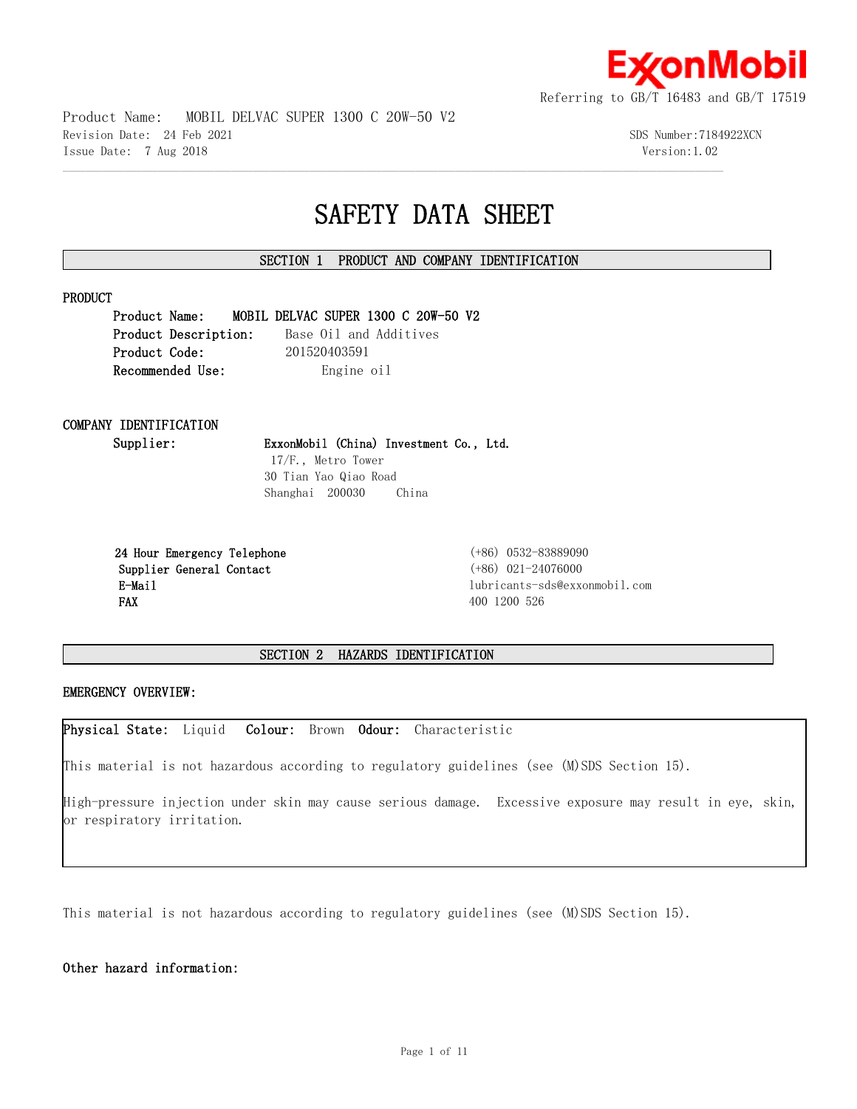

Product Name: MOBIL DELVAC SUPER 1300 C 20W-50 V2 Revision Date: 24 Feb 2021 3DS Number:7184922XCN Issue Date: 7 Aug 2018 Version:1.02

## **SAFETY DATA SHEET**

## **SECTION 1 PRODUCT AND COMPANY IDENTIFICATION**

 $\mathcal{L} = \{ \mathcal{L} = \{ \mathcal{L} = \{ \mathcal{L} = \{ \mathcal{L} = \{ \mathcal{L} = \{ \mathcal{L} = \{ \mathcal{L} = \{ \mathcal{L} = \{ \mathcal{L} = \{ \mathcal{L} = \{ \mathcal{L} = \{ \mathcal{L} = \{ \mathcal{L} = \{ \mathcal{L} = \{ \mathcal{L} = \{ \mathcal{L} = \{ \mathcal{L} = \{ \mathcal{L} = \{ \mathcal{L} = \{ \mathcal{L} = \{ \mathcal{L} = \{ \mathcal{L} = \{ \mathcal{L} = \{ \mathcal{$ 

## **PRODUCT**

**Product Name: MOBIL DELVAC SUPER 1300 C 20W-50 V2 Product Description:** Base Oil and Additives **Product Code:** 201520403591 **Recommended Use:** Engine oil

# **COMPANY IDENTIFICATION**

**Supplier: ExxonMobil (China) Investment Co., Ltd.**

 17/F., Metro Tower 30 Tian Yao Qiao Road Shanghai 200030 China

 **24 Hour Emergency Telephone** (+86) 0532-83889090 **Supplier General Contact** (+86) 021-24076000 **FAX** 400 1200 526

 **E-Mail** lubricants-sds@exxonmobil.com

## **SECTION 2 HAZARDS IDENTIFICATION**

## **EMERGENCY OVERVIEW:**

**Physical State:** Liquid **Colour:** Brown **Odour:** Characteristic

This material is not hazardous according to regulatory guidelines (see (M)SDS Section 15).

High-pressure injection under skin may cause serious damage. Excessive exposure may result in eye, skin, or respiratory irritation.

This material is not hazardous according to regulatory guidelines (see (M)SDS Section 15).

**Other hazard information:**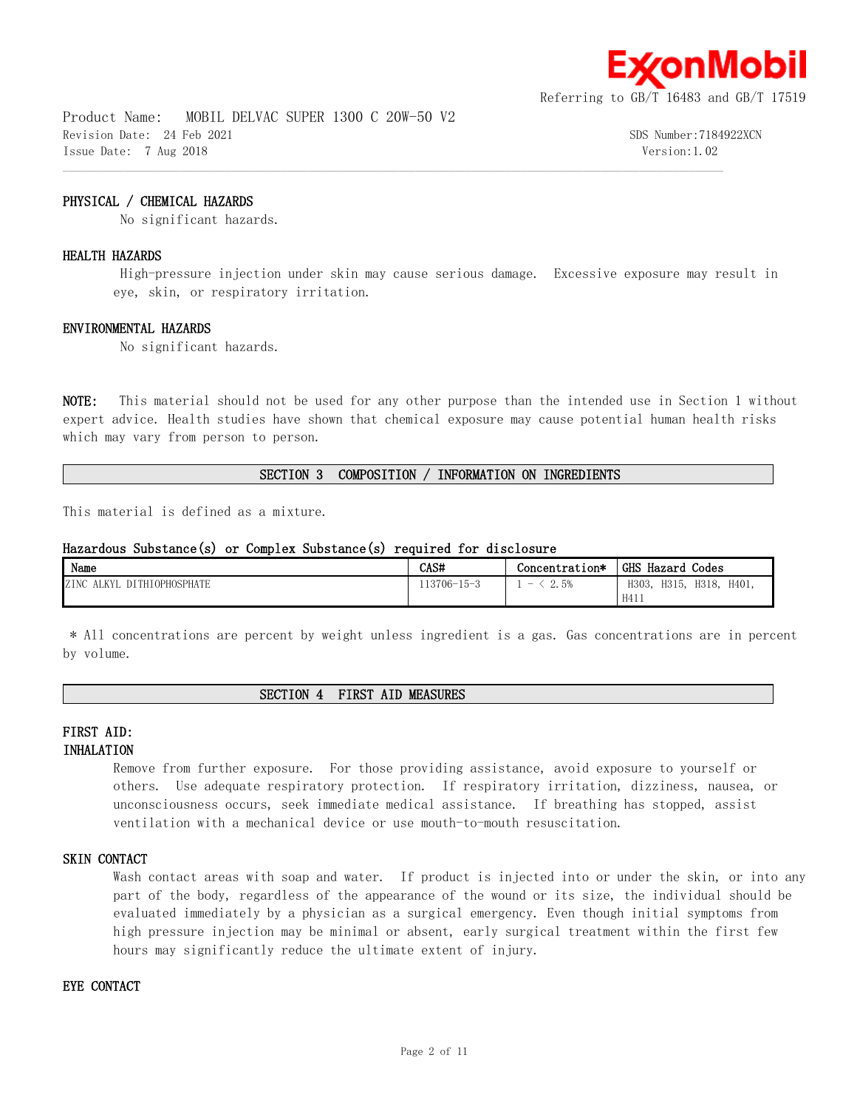

Product Name: MOBIL DELVAC SUPER 1300 C 20W-50 V2 Revision Date: 24 Feb 2021 SDS Number:7184922XCN Issue Date: 7 Aug 2018 Version:1.02

## **PHYSICAL / CHEMICAL HAZARDS**

No significant hazards.

## **HEALTH HAZARDS**

 High-pressure injection under skin may cause serious damage. Excessive exposure may result in eye, skin, or respiratory irritation.

 $\mathcal{L} = \{ \mathcal{L} = \{ \mathcal{L} = \{ \mathcal{L} = \{ \mathcal{L} = \{ \mathcal{L} = \{ \mathcal{L} = \{ \mathcal{L} = \{ \mathcal{L} = \{ \mathcal{L} = \{ \mathcal{L} = \{ \mathcal{L} = \{ \mathcal{L} = \{ \mathcal{L} = \{ \mathcal{L} = \{ \mathcal{L} = \{ \mathcal{L} = \{ \mathcal{L} = \{ \mathcal{L} = \{ \mathcal{L} = \{ \mathcal{L} = \{ \mathcal{L} = \{ \mathcal{L} = \{ \mathcal{L} = \{ \mathcal{$ 

## **ENVIRONMENTAL HAZARDS**

No significant hazards.

**NOTE:** This material should not be used for any other purpose than the intended use in Section 1 without expert advice. Health studies have shown that chemical exposure may cause potential human health risks which may vary from person to person.

## **SECTION 3 COMPOSITION / INFORMATION ON INGREDIENTS**

This material is defined as a mixture.

## **Hazardous Substance(s) or Complex Substance(s) required for disclosure**

| Name                                                               | CAS#        | Concentration*           | <b>GHS Hazard</b><br>Codes               |
|--------------------------------------------------------------------|-------------|--------------------------|------------------------------------------|
| <b>TOPHOSPHATE</b><br><b>ZINC</b><br>' KVI<br><b>DITH</b><br>AL IT | 113706-15-3 | 2.5%<br>$\hspace{0.5cm}$ | H318.<br>H401.<br>H315.<br>H303.<br>H411 |

 \* All concentrations are percent by weight unless ingredient is a gas. Gas concentrations are in percent by volume.

#### **SECTION 4 FIRST AID MEASURES**

## **FIRST AID:**

## **INHALATION**

Remove from further exposure. For those providing assistance, avoid exposure to yourself or others. Use adequate respiratory protection. If respiratory irritation, dizziness, nausea, or unconsciousness occurs, seek immediate medical assistance. If breathing has stopped, assist ventilation with a mechanical device or use mouth-to-mouth resuscitation.

## **SKIN CONTACT**

Wash contact areas with soap and water. If product is injected into or under the skin, or into any part of the body, regardless of the appearance of the wound or its size, the individual should be evaluated immediately by a physician as a surgical emergency. Even though initial symptoms from high pressure injection may be minimal or absent, early surgical treatment within the first few hours may significantly reduce the ultimate extent of injury.

## **EYE CONTACT**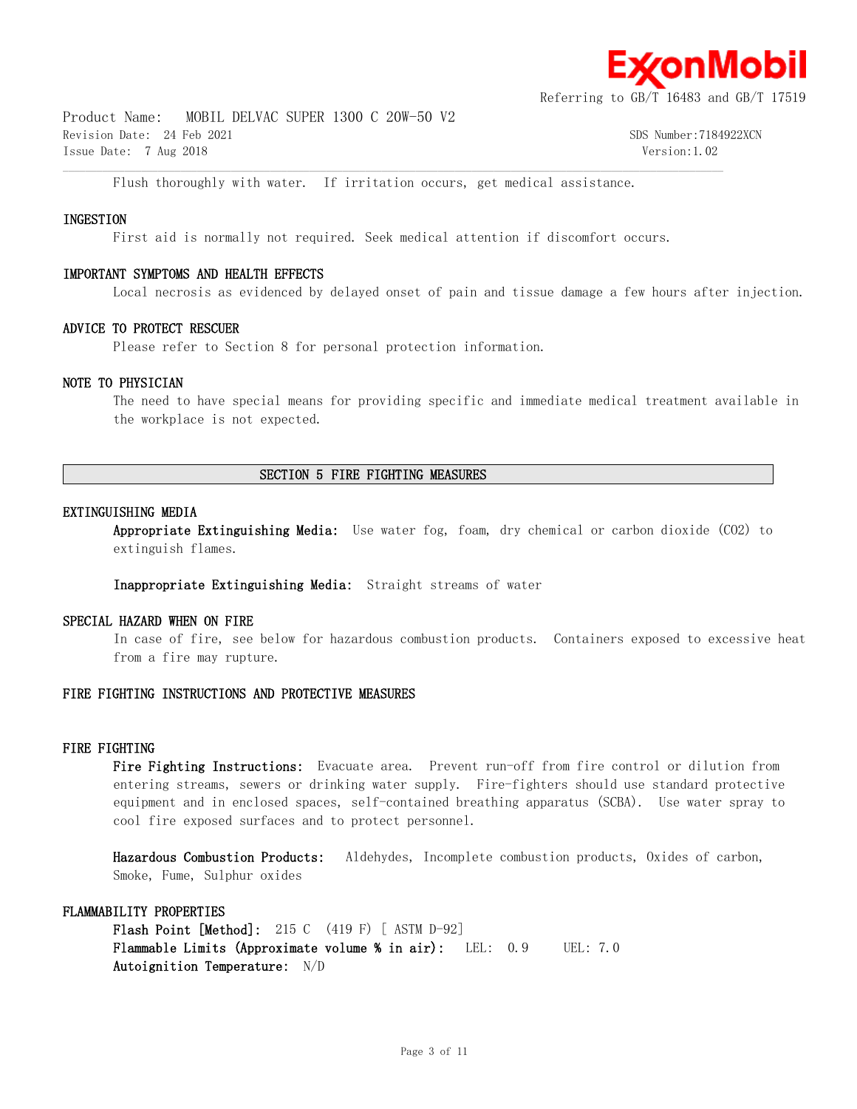

Product Name: MOBIL DELVAC SUPER 1300 C 20W-50 V2 Revision Date: 24 Feb 2021 SDS Number:7184922XCN Issue Date: 7 Aug 2018 Version:1.02

Flush thoroughly with water. If irritation occurs, get medical assistance.

## **INGESTION**

First aid is normally not required. Seek medical attention if discomfort occurs.

 $\mathcal{L} = \{ \mathcal{L} = \{ \mathcal{L} = \{ \mathcal{L} = \{ \mathcal{L} = \{ \mathcal{L} = \{ \mathcal{L} = \{ \mathcal{L} = \{ \mathcal{L} = \{ \mathcal{L} = \{ \mathcal{L} = \{ \mathcal{L} = \{ \mathcal{L} = \{ \mathcal{L} = \{ \mathcal{L} = \{ \mathcal{L} = \{ \mathcal{L} = \{ \mathcal{L} = \{ \mathcal{L} = \{ \mathcal{L} = \{ \mathcal{L} = \{ \mathcal{L} = \{ \mathcal{L} = \{ \mathcal{L} = \{ \mathcal{$ 

#### **IMPORTANT SYMPTOMS AND HEALTH EFFECTS**

Local necrosis as evidenced by delayed onset of pain and tissue damage a few hours after injection.

#### **ADVICE TO PROTECT RESCUER**

Please refer to Section 8 for personal protection information.

#### **NOTE TO PHYSICIAN**

The need to have special means for providing specific and immediate medical treatment available in the workplace is not expected.

## **SECTION 5 FIRE FIGHTING MEASURES**

#### **EXTINGUISHING MEDIA**

**Appropriate Extinguishing Media:** Use water fog, foam, dry chemical or carbon dioxide (CO2) to extinguish flames.

**Inappropriate Extinguishing Media:** Straight streams of water

#### **SPECIAL HAZARD WHEN ON FIRE**

In case of fire, see below for hazardous combustion products. Containers exposed to excessive heat from a fire may rupture.

## **FIRE FIGHTING INSTRUCTIONS AND PROTECTIVE MEASURES**

## **FIRE FIGHTING**

**Fire Fighting Instructions:** Evacuate area. Prevent run-off from fire control or dilution from entering streams, sewers or drinking water supply. Fire-fighters should use standard protective equipment and in enclosed spaces, self-contained breathing apparatus (SCBA). Use water spray to cool fire exposed surfaces and to protect personnel.

**Hazardous Combustion Products:** Aldehydes, Incomplete combustion products, Oxides of carbon, Smoke, Fume, Sulphur oxides

## **FLAMMABILITY PROPERTIES**

**Flash Point [Method]:** 215 C (419 F) [ ASTM D-92] **Flammable Limits (Approximate volume % in air):** LEL: 0.9 UEL: 7.0 **Autoignition Temperature:** N/D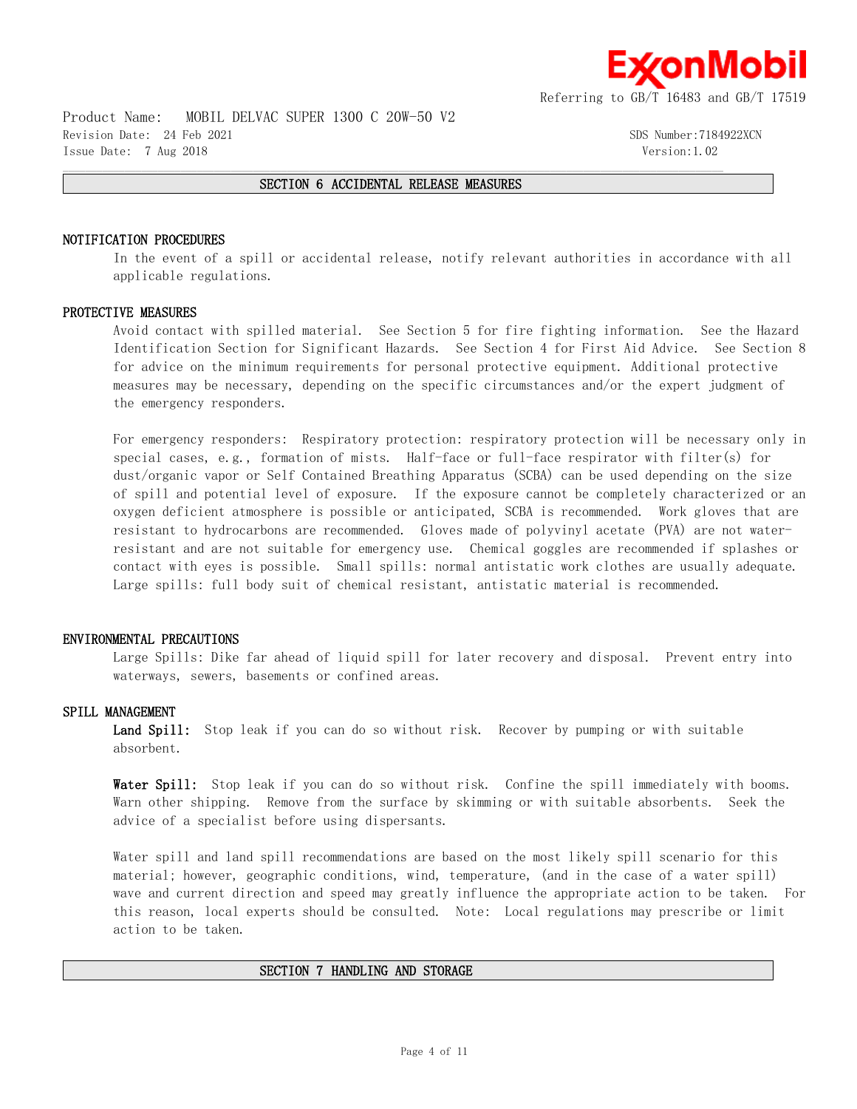

Product Name: MOBIL DELVAC SUPER 1300 C 20W-50 V2 Revision Date: 24 Feb 2021 SDS Number:7184922XCN Issue Date: 7 Aug 2018 Version:1.02

## $\mathcal{L} = \{ \mathcal{L} = \{ \mathcal{L} = \{ \mathcal{L} = \{ \mathcal{L} = \{ \mathcal{L} = \{ \mathcal{L} = \{ \mathcal{L} = \{ \mathcal{L} = \{ \mathcal{L} = \{ \mathcal{L} = \{ \mathcal{L} = \{ \mathcal{L} = \{ \mathcal{L} = \{ \mathcal{L} = \{ \mathcal{L} = \{ \mathcal{L} = \{ \mathcal{L} = \{ \mathcal{L} = \{ \mathcal{L} = \{ \mathcal{L} = \{ \mathcal{L} = \{ \mathcal{L} = \{ \mathcal{L} = \{ \mathcal{$ **SECTION 6 ACCIDENTAL RELEASE MEASURES**

#### **NOTIFICATION PROCEDURES**

In the event of a spill or accidental release, notify relevant authorities in accordance with all applicable regulations.

#### **PROTECTIVE MEASURES**

Avoid contact with spilled material. See Section 5 for fire fighting information. See the Hazard Identification Section for Significant Hazards. See Section 4 for First Aid Advice. See Section 8 for advice on the minimum requirements for personal protective equipment. Additional protective measures may be necessary, depending on the specific circumstances and/or the expert judgment of the emergency responders.

For emergency responders: Respiratory protection: respiratory protection will be necessary only in special cases, e.g., formation of mists. Half-face or full-face respirator with filter(s) for dust/organic vapor or Self Contained Breathing Apparatus (SCBA) can be used depending on the size of spill and potential level of exposure. If the exposure cannot be completely characterized or an oxygen deficient atmosphere is possible or anticipated, SCBA is recommended. Work gloves that are resistant to hydrocarbons are recommended. Gloves made of polyvinyl acetate (PVA) are not waterresistant and are not suitable for emergency use. Chemical goggles are recommended if splashes or contact with eyes is possible. Small spills: normal antistatic work clothes are usually adequate. Large spills: full body suit of chemical resistant, antistatic material is recommended.

#### **ENVIRONMENTAL PRECAUTIONS**

Large Spills: Dike far ahead of liquid spill for later recovery and disposal. Prevent entry into waterways, sewers, basements or confined areas.

## **SPILL MANAGEMENT**

**Land Spill:** Stop leak if you can do so without risk. Recover by pumping or with suitable absorbent.

**Water Spill:** Stop leak if you can do so without risk. Confine the spill immediately with booms. Warn other shipping. Remove from the surface by skimming or with suitable absorbents. Seek the advice of a specialist before using dispersants.

Water spill and land spill recommendations are based on the most likely spill scenario for this material; however, geographic conditions, wind, temperature, (and in the case of a water spill) wave and current direction and speed may greatly influence the appropriate action to be taken. For this reason, local experts should be consulted. Note: Local regulations may prescribe or limit action to be taken.

## **SECTION 7 HANDLING AND STORAGE**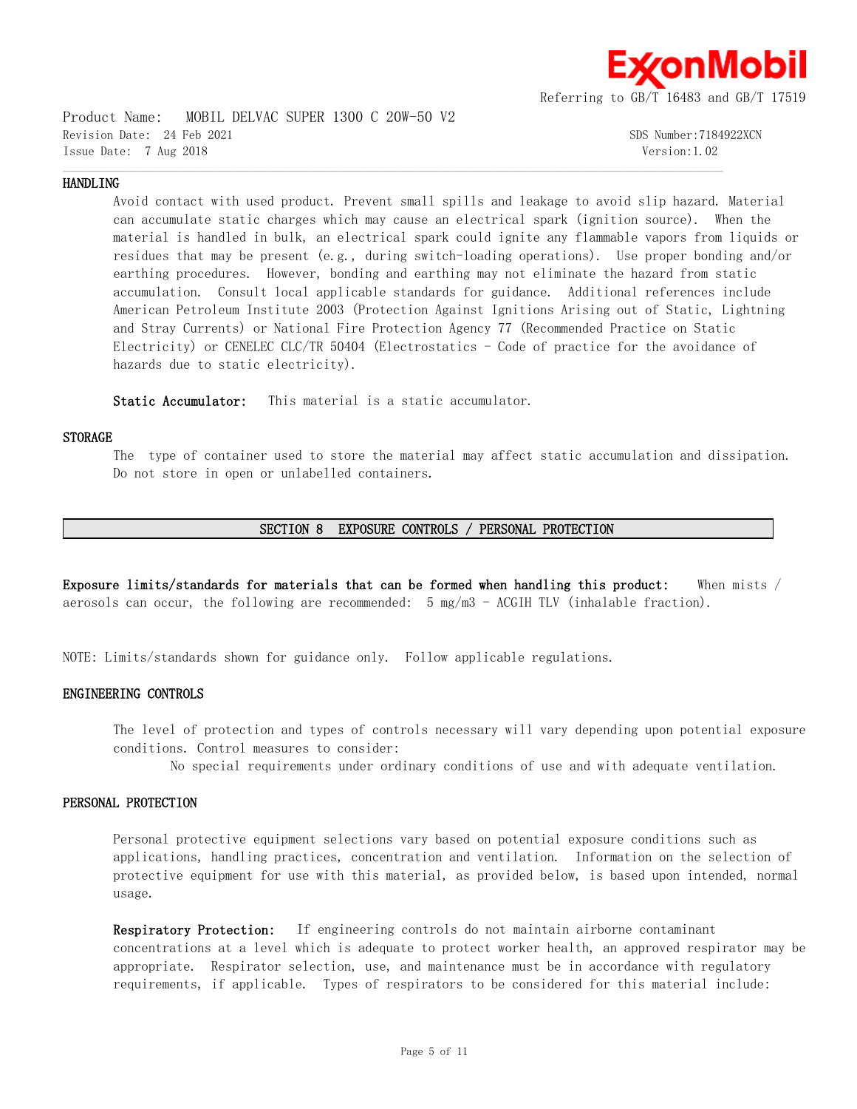

Product Name: MOBIL DELVAC SUPER 1300 C 20W-50 V2 Revision Date: 24 Feb 2021 SDS Number:7184922XCN Issue Date: 7 Aug 2018 Version:1.02

#### **HANDLING**

Avoid contact with used product. Prevent small spills and leakage to avoid slip hazard. Material can accumulate static charges which may cause an electrical spark (ignition source). When the material is handled in bulk, an electrical spark could ignite any flammable vapors from liquids or residues that may be present (e.g., during switch-loading operations). Use proper bonding and/or earthing procedures. However, bonding and earthing may not eliminate the hazard from static accumulation. Consult local applicable standards for guidance. Additional references include American Petroleum Institute 2003 (Protection Against Ignitions Arising out of Static, Lightning and Stray Currents) or National Fire Protection Agency 77 (Recommended Practice on Static Electricity) or CENELEC CLC/TR 50404 (Electrostatics - Code of practice for the avoidance of hazards due to static electricity).

 $\mathcal{L} = \{ \mathcal{L} = \{ \mathcal{L} = \{ \mathcal{L} = \{ \mathcal{L} = \{ \mathcal{L} = \{ \mathcal{L} = \{ \mathcal{L} = \{ \mathcal{L} = \{ \mathcal{L} = \{ \mathcal{L} = \{ \mathcal{L} = \{ \mathcal{L} = \{ \mathcal{L} = \{ \mathcal{L} = \{ \mathcal{L} = \{ \mathcal{L} = \{ \mathcal{L} = \{ \mathcal{L} = \{ \mathcal{L} = \{ \mathcal{L} = \{ \mathcal{L} = \{ \mathcal{L} = \{ \mathcal{L} = \{ \mathcal{$ 

**Static Accumulator:** This material is a static accumulator.

#### **STORAGE**

The type of container used to store the material may affect static accumulation and dissipation. Do not store in open or unlabelled containers.

#### **SECTION 8 EXPOSURE CONTROLS / PERSONAL PROTECTION**

**Exposure limits/standards for materials that can be formed when handling this product:** When mists / aerosols can occur, the following are recommended: 5 mg/m3 - ACGIH TLV (inhalable fraction).

NOTE: Limits/standards shown for guidance only. Follow applicable regulations.

## **ENGINEERING CONTROLS**

The level of protection and types of controls necessary will vary depending upon potential exposure conditions. Control measures to consider:

No special requirements under ordinary conditions of use and with adequate ventilation.

#### **PERSONAL PROTECTION**

Personal protective equipment selections vary based on potential exposure conditions such as applications, handling practices, concentration and ventilation. Information on the selection of protective equipment for use with this material, as provided below, is based upon intended, normal usage.

**Respiratory Protection:** If engineering controls do not maintain airborne contaminant concentrations at a level which is adequate to protect worker health, an approved respirator may be appropriate. Respirator selection, use, and maintenance must be in accordance with regulatory requirements, if applicable. Types of respirators to be considered for this material include: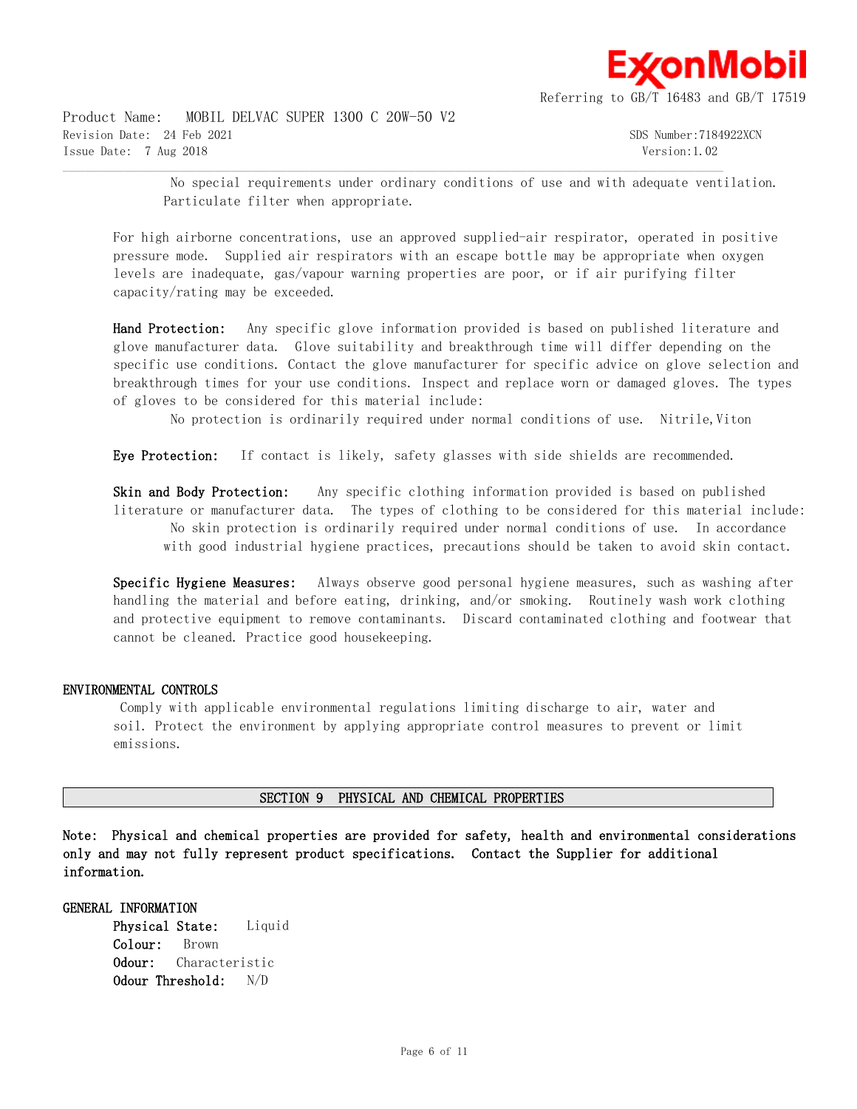

Product Name: MOBIL DELVAC SUPER 1300 C 20W-50 V2 Revision Date: 24 Feb 2021 SDS Number:7184922XCN Issue Date: 7 Aug 2018 Version:1.02

 No special requirements under ordinary conditions of use and with adequate ventilation. Particulate filter when appropriate.

For high airborne concentrations, use an approved supplied-air respirator, operated in positive pressure mode. Supplied air respirators with an escape bottle may be appropriate when oxygen levels are inadequate, gas/vapour warning properties are poor, or if air purifying filter capacity/rating may be exceeded.

 $\mathcal{L} = \{ \mathcal{L} = \{ \mathcal{L} = \{ \mathcal{L} = \{ \mathcal{L} = \{ \mathcal{L} = \{ \mathcal{L} = \{ \mathcal{L} = \{ \mathcal{L} = \{ \mathcal{L} = \{ \mathcal{L} = \{ \mathcal{L} = \{ \mathcal{L} = \{ \mathcal{L} = \{ \mathcal{L} = \{ \mathcal{L} = \{ \mathcal{L} = \{ \mathcal{L} = \{ \mathcal{L} = \{ \mathcal{L} = \{ \mathcal{L} = \{ \mathcal{L} = \{ \mathcal{L} = \{ \mathcal{L} = \{ \mathcal{$ 

**Hand Protection:** Any specific glove information provided is based on published literature and glove manufacturer data. Glove suitability and breakthrough time will differ depending on the specific use conditions. Contact the glove manufacturer for specific advice on glove selection and breakthrough times for your use conditions. Inspect and replace worn or damaged gloves. The types of gloves to be considered for this material include:

No protection is ordinarily required under normal conditions of use. Nitrile, Viton

**Eye Protection:** If contact is likely, safety glasses with side shields are recommended.

**Skin and Body Protection:** Any specific clothing information provided is based on published literature or manufacturer data. The types of clothing to be considered for this material include: No skin protection is ordinarily required under normal conditions of use. In accordance with good industrial hygiene practices, precautions should be taken to avoid skin contact.

**Specific Hygiene Measures:** Always observe good personal hygiene measures, such as washing after handling the material and before eating, drinking, and/or smoking. Routinely wash work clothing and protective equipment to remove contaminants. Discard contaminated clothing and footwear that cannot be cleaned. Practice good housekeeping.

## **ENVIRONMENTAL CONTROLS**

 Comply with applicable environmental regulations limiting discharge to air, water and soil. Protect the environment by applying appropriate control measures to prevent or limit emissions.

## **SECTION 9 PHYSICAL AND CHEMICAL PROPERTIES**

**Note: Physical and chemical properties are provided for safety, health and environmental considerations only and may not fully represent product specifications. Contact the Supplier for additional information.**

## **GENERAL INFORMATION**

**Physical State:** Liquid **Colour:** Brown **Odour:** Characteristic **Odour Threshold:** N/D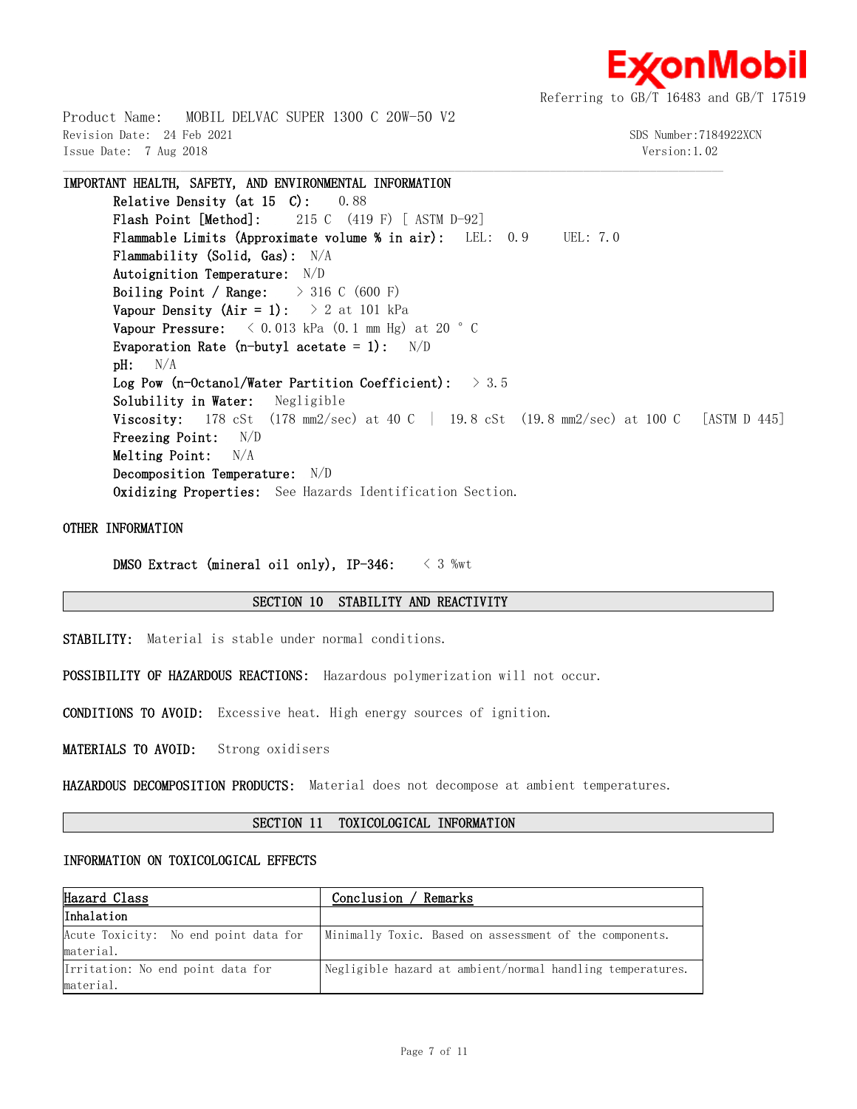

Product Name: MOBIL DELVAC SUPER 1300 C 20W-50 V2 Revision Date: 24 Feb 2021 SDS Number:7184922XCN Issue Date: 7 Aug 2018 Version:1.02

**IMPORTANT HEALTH, SAFETY, AND ENVIRONMENTAL INFORMATION Relative Density (at 15 C):** 0.88 **Flash Point [Method]:** 215 C (419 F) [ ASTM D-92] **Flammable Limits (Approximate volume % in air):** LEL: 0.9 UEL: 7.0 **Flammability (Solid, Gas):** N/A **Autoignition Temperature:** N/D **Boiling Point / Range:** > 316 C (600 F) **Vapour Density (Air = 1):**  $> 2$  at 101 kPa **Vapour Pressure:**  $\langle 0.013 \text{ kPa} (0.1 \text{ mm Hg}) \text{ at } 20 \text{ }^{\circ} \text{ C}$ **Evaporation Rate (n-butyl acetate = 1):** N/D **pH:** N/A **Log Pow (n-Octanol/Water Partition Coefficient):** > 3.5 **Solubility in Water:** Negligible **Viscosity:** 178 cSt (178 mm2/sec) at 40 C | 19.8 cSt (19.8 mm2/sec) at 100 C [ASTM D 445] **Freezing Point:** N/D **Melting Point:** N/A **Decomposition Temperature:** N/D **Oxidizing Properties:** See Hazards Identification Section.

 $\mathcal{L} = \{ \mathcal{L} = \{ \mathcal{L} = \{ \mathcal{L} = \{ \mathcal{L} = \{ \mathcal{L} = \{ \mathcal{L} = \{ \mathcal{L} = \{ \mathcal{L} = \{ \mathcal{L} = \{ \mathcal{L} = \{ \mathcal{L} = \{ \mathcal{L} = \{ \mathcal{L} = \{ \mathcal{L} = \{ \mathcal{L} = \{ \mathcal{L} = \{ \mathcal{L} = \{ \mathcal{L} = \{ \mathcal{L} = \{ \mathcal{L} = \{ \mathcal{L} = \{ \mathcal{L} = \{ \mathcal{L} = \{ \mathcal{$ 

## **OTHER INFORMATION**

**DMSO Extract (mineral oil only), IP-346:** < 3 %wt

#### **SECTION 10 STABILITY AND REACTIVITY**

**STABILITY:** Material is stable under normal conditions.

**POSSIBILITY OF HAZARDOUS REACTIONS:** Hazardous polymerization will not occur.

**CONDITIONS TO AVOID:** Excessive heat. High energy sources of ignition.

**MATERIALS TO AVOID:** Strong oxidisers

**HAZARDOUS DECOMPOSITION PRODUCTS:** Material does not decompose at ambient temperatures.

## **SECTION 11 TOXICOLOGICAL INFORMATION**

#### **INFORMATION ON TOXICOLOGICAL EFFECTS**

| Hazard Class                          | Conclusion / Remarks                                       |  |  |
|---------------------------------------|------------------------------------------------------------|--|--|
| Inhalation                            |                                                            |  |  |
| Acute Toxicity: No end point data for | Minimally Toxic. Based on assessment of the components.    |  |  |
| material.                             |                                                            |  |  |
| Irritation: No end point data for     | Negligible hazard at ambient/normal handling temperatures. |  |  |
| material.                             |                                                            |  |  |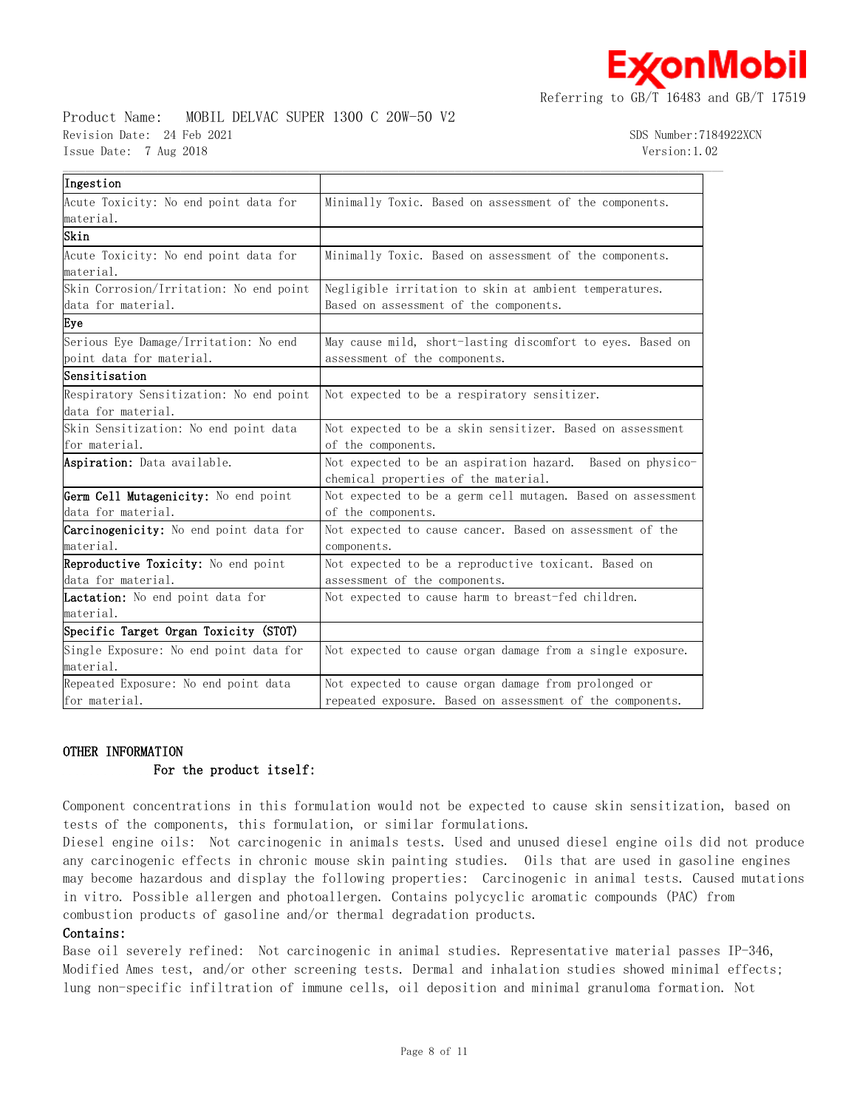χonMobil

Referring to GB/T 16483 and GB/T 17519

## Product Name: MOBIL DELVAC SUPER 1300 C 20W-50 V2 Revision Date: 24 Feb 2021 3DS Number:7184922XCN Issue Date: 7 Aug 2018 Version:1.02

| Ingestion                                  |                                                             |
|--------------------------------------------|-------------------------------------------------------------|
| Acute Toxicity: No end point data for      | Minimally Toxic. Based on assessment of the components.     |
| material.                                  |                                                             |
| Skin                                       |                                                             |
| Acute Toxicity: No end point data for      | Minimally Toxic. Based on assessment of the components.     |
| material.                                  |                                                             |
| Skin Corrosion/Irritation: No end point    | Negligible irritation to skin at ambient temperatures.      |
| data for material.                         | Based on assessment of the components.                      |
| Eye                                        |                                                             |
| Serious Eye Damage/Irritation: No end      | May cause mild, short-lasting discomfort to eyes. Based on  |
| point data for material.                   | assessment of the components.                               |
| Sensitisation                              |                                                             |
| Respiratory Sensitization: No end point    | Not expected to be a respiratory sensitizer.                |
| data for material.                         |                                                             |
| Skin Sensitization: No end point data      | Not expected to be a skin sensitizer. Based on assessment   |
| for material.                              | of the components.                                          |
| Aspiration: Data available.                | Not expected to be an aspiration hazard. Based on physico-  |
|                                            | chemical properties of the material.                        |
| Germ Cell Mutagenicity: No end point       | Not expected to be a germ cell mutagen. Based on assessment |
| data for material.                         | of the components.                                          |
| Carcinogenicity: No end point data for     | Not expected to cause cancer. Based on assessment of the    |
| material.                                  | components.                                                 |
| <b>Reproductive Toxicity:</b> No end point | Not expected to be a reproductive toxicant. Based on        |
| data for material.                         | assessment of the components.                               |
| Lactation: No end point data for           | Not expected to cause harm to breast-fed children.          |
| material.                                  |                                                             |
| Specific Target Organ Toxicity (STOT)      |                                                             |
| Single Exposure: No end point data for     | Not expected to cause organ damage from a single exposure.  |
| material.                                  |                                                             |
| Repeated Exposure: No end point data       | Not expected to cause organ damage from prolonged or        |
| for material.                              | repeated exposure. Based on assessment of the components.   |

 $\mathcal{L} = \{ \mathcal{L} = \{ \mathcal{L} = \{ \mathcal{L} = \{ \mathcal{L} = \{ \mathcal{L} = \{ \mathcal{L} = \{ \mathcal{L} = \{ \mathcal{L} = \{ \mathcal{L} = \{ \mathcal{L} = \{ \mathcal{L} = \{ \mathcal{L} = \{ \mathcal{L} = \{ \mathcal{L} = \{ \mathcal{L} = \{ \mathcal{L} = \{ \mathcal{L} = \{ \mathcal{L} = \{ \mathcal{L} = \{ \mathcal{L} = \{ \mathcal{L} = \{ \mathcal{L} = \{ \mathcal{L} = \{ \mathcal{$ 

## **OTHER INFORMATION**

## **For the product itself:**

Component concentrations in this formulation would not be expected to cause skin sensitization, based on tests of the components, this formulation, or similar formulations.

Diesel engine oils: Not carcinogenic in animals tests. Used and unused diesel engine oils did not produce any carcinogenic effects in chronic mouse skin painting studies. Oils that are used in gasoline engines may become hazardous and display the following properties: Carcinogenic in animal tests. Caused mutations in vitro. Possible allergen and photoallergen. Contains polycyclic aromatic compounds (PAC) from combustion products of gasoline and/or thermal degradation products.

## **Contains:**

Base oil severely refined: Not carcinogenic in animal studies. Representative material passes IP-346, Modified Ames test, and/or other screening tests. Dermal and inhalation studies showed minimal effects; lung non-specific infiltration of immune cells, oil deposition and minimal granuloma formation. Not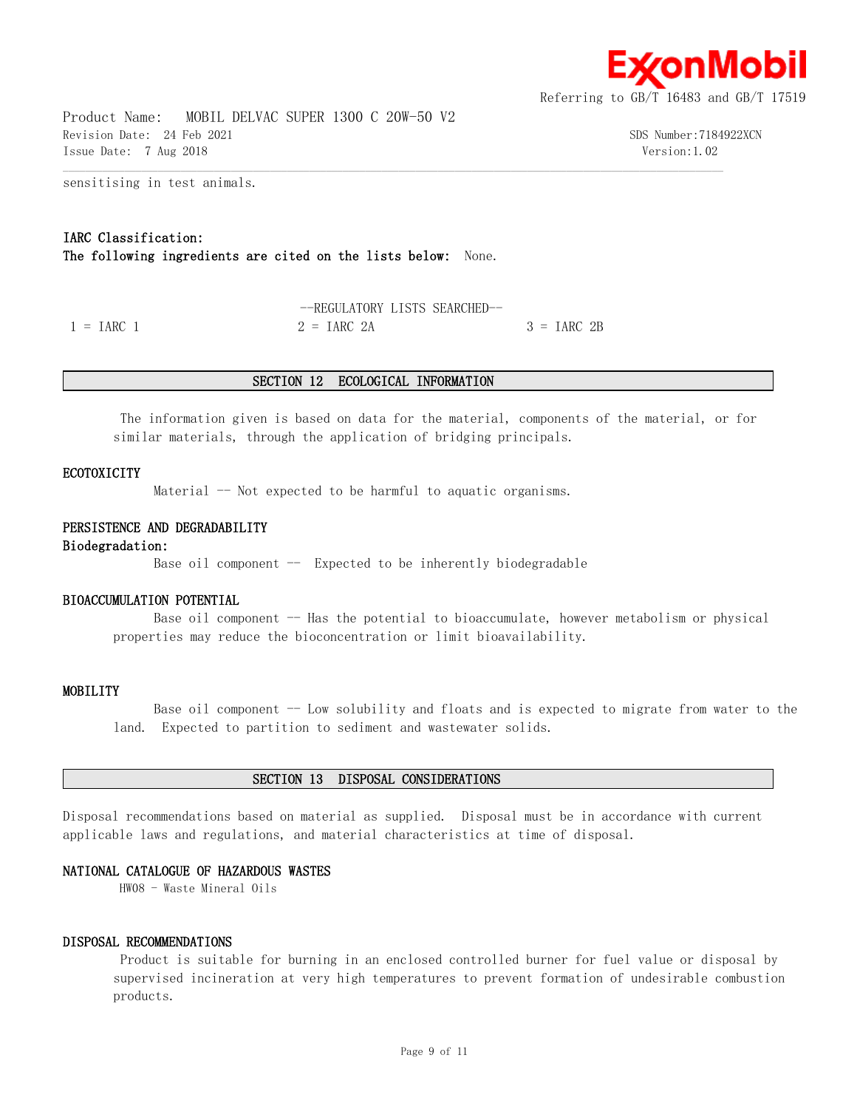

Product Name: MOBIL DELVAC SUPER 1300 C 20W-50 V2 Revision Date: 24 Feb 2021 SDS Number:7184922XCN Issue Date: 7 Aug 2018 Version:1.02

sensitising in test animals.

## **IARC Classification:**

**The following ingredients are cited on the lists below:** None.

--REGULATORY LISTS SEARCHED--  $1 = \text{IARC}$  1  $2 = \text{IARC}$  2A  $3 = \text{IARC}$  2B

#### **SECTION 12 ECOLOGICAL INFORMATION**

 $\mathcal{L} = \{ \mathcal{L} = \{ \mathcal{L} = \{ \mathcal{L} = \{ \mathcal{L} = \{ \mathcal{L} = \{ \mathcal{L} = \{ \mathcal{L} = \{ \mathcal{L} = \{ \mathcal{L} = \{ \mathcal{L} = \{ \mathcal{L} = \{ \mathcal{L} = \{ \mathcal{L} = \{ \mathcal{L} = \{ \mathcal{L} = \{ \mathcal{L} = \{ \mathcal{L} = \{ \mathcal{L} = \{ \mathcal{L} = \{ \mathcal{L} = \{ \mathcal{L} = \{ \mathcal{L} = \{ \mathcal{L} = \{ \mathcal{$ 

 The information given is based on data for the material, components of the material, or for similar materials, through the application of bridging principals.

#### **ECOTOXICITY**

Material  $-$  Not expected to be harmful to aquatic organisms.

#### **PERSISTENCE AND DEGRADABILITY**

#### **Biodegradation:**

Base oil component  $-$  Expected to be inherently biodegradable

## **BIOACCUMULATION POTENTIAL**

Base oil component -- Has the potential to bioaccumulate, however metabolism or physical properties may reduce the bioconcentration or limit bioavailability.

#### **MOBILITY**

 Base oil component -- Low solubility and floats and is expected to migrate from water to the land. Expected to partition to sediment and wastewater solids.

#### **SECTION 13 DISPOSAL CONSIDERATIONS**

Disposal recommendations based on material as supplied. Disposal must be in accordance with current applicable laws and regulations, and material characteristics at time of disposal.

## **NATIONAL CATALOGUE OF HAZARDOUS WASTES**

HW08 - Waste Mineral Oils

#### **DISPOSAL RECOMMENDATIONS**

 Product is suitable for burning in an enclosed controlled burner for fuel value or disposal by supervised incineration at very high temperatures to prevent formation of undesirable combustion products.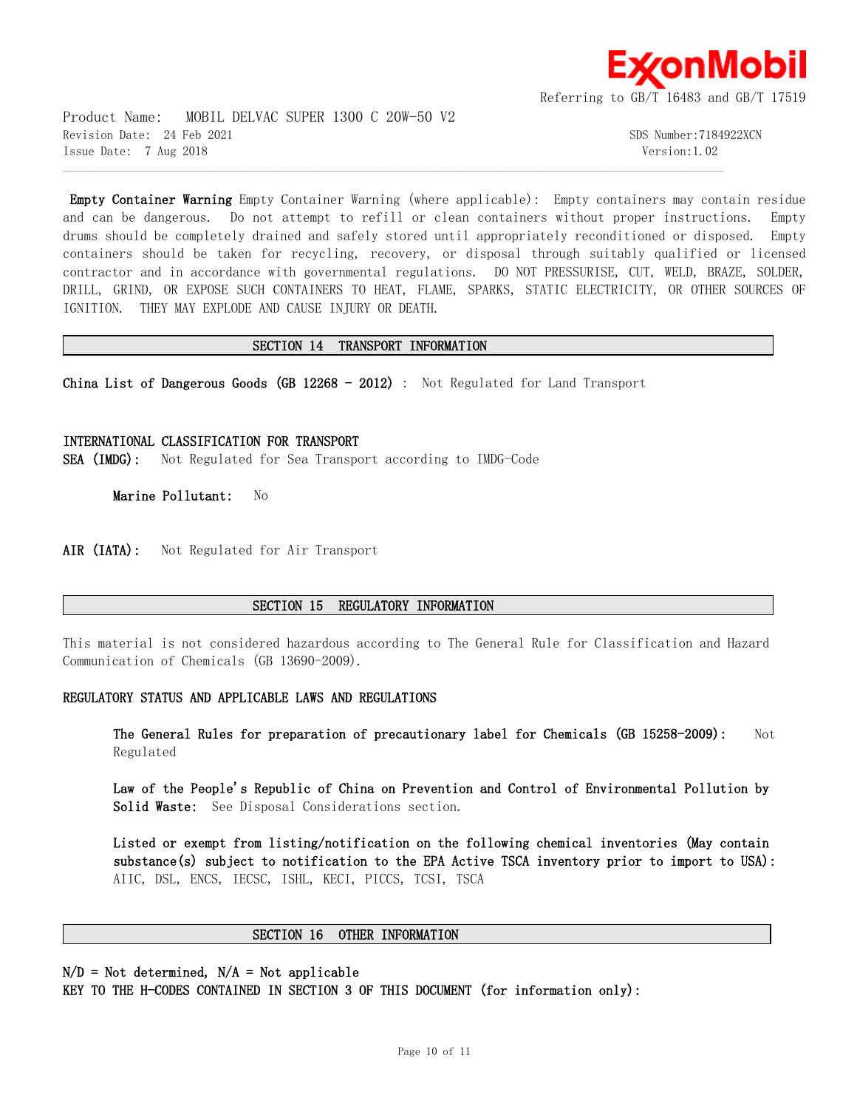

Product Name: MOBIL DELVAC SUPER 1300 C 20W-50 V2 Revision Date: 24 Feb 2021 SDS Number:7184922XCN Issue Date: 7 Aug 2018 Version:1.02

**Empty Container Warning** Empty Container Warning (where applicable): Empty containers may contain residue and can be dangerous. Do not attempt to refill or clean containers without proper instructions. Empty drums should be completely drained and safely stored until appropriately reconditioned or disposed. Empty containers should be taken for recycling, recovery, or disposal through suitably qualified or licensed contractor and in accordance with governmental regulations. DO NOT PRESSURISE, CUT, WELD, BRAZE, SOLDER, DRILL, GRIND, OR EXPOSE SUCH CONTAINERS TO HEAT, FLAME, SPARKS, STATIC ELECTRICITY, OR OTHER SOURCES OF IGNITION. THEY MAY EXPLODE AND CAUSE INJURY OR DEATH.

## **SECTION 14 TRANSPORT INFORMATION**

 $\mathcal{L} = \{ \mathcal{L} = \{ \mathcal{L} = \{ \mathcal{L} = \{ \mathcal{L} = \{ \mathcal{L} = \{ \mathcal{L} = \{ \mathcal{L} = \{ \mathcal{L} = \{ \mathcal{L} = \{ \mathcal{L} = \{ \mathcal{L} = \{ \mathcal{L} = \{ \mathcal{L} = \{ \mathcal{L} = \{ \mathcal{L} = \{ \mathcal{L} = \{ \mathcal{L} = \{ \mathcal{L} = \{ \mathcal{L} = \{ \mathcal{L} = \{ \mathcal{L} = \{ \mathcal{L} = \{ \mathcal{L} = \{ \mathcal{$ 

**China List of Dangerous Goods (GB 12268 - 2012)** : Not Regulated for Land Transport

**INTERNATIONAL CLASSIFICATION FOR TRANSPORT SEA (IMDG):** Not Regulated for Sea Transport according to IMDG-Code

**Marine Pollutant:** No

AIR (IATA): Not Regulated for Air Transport

## **SECTION 15 REGULATORY INFORMATION**

This material is not considered hazardous according to The General Rule for Classification and Hazard Communication of Chemicals (GB 13690-2009).

## **REGULATORY STATUS AND APPLICABLE LAWS AND REGULATIONS**

**The General Rules for preparation of precautionary label for Chemicals (GB 15258-2009):** Not Regulated

**Law of the People's Republic of China on Prevention and Control of Environmental Pollution by Solid Waste:** See Disposal Considerations section.

**Listed or exempt from listing/notification on the following chemical inventories (May contain substance(s) subject to notification to the EPA Active TSCA inventory prior to import to USA):**  AIIC, DSL, ENCS, IECSC, ISHL, KECI, PICCS, TCSI, TSCA

## **SECTION 16 OTHER INFORMATION**

**N/D = Not determined, N/A = Not applicable**

**KEY TO THE H-CODES CONTAINED IN SECTION 3 OF THIS DOCUMENT (for information only):**